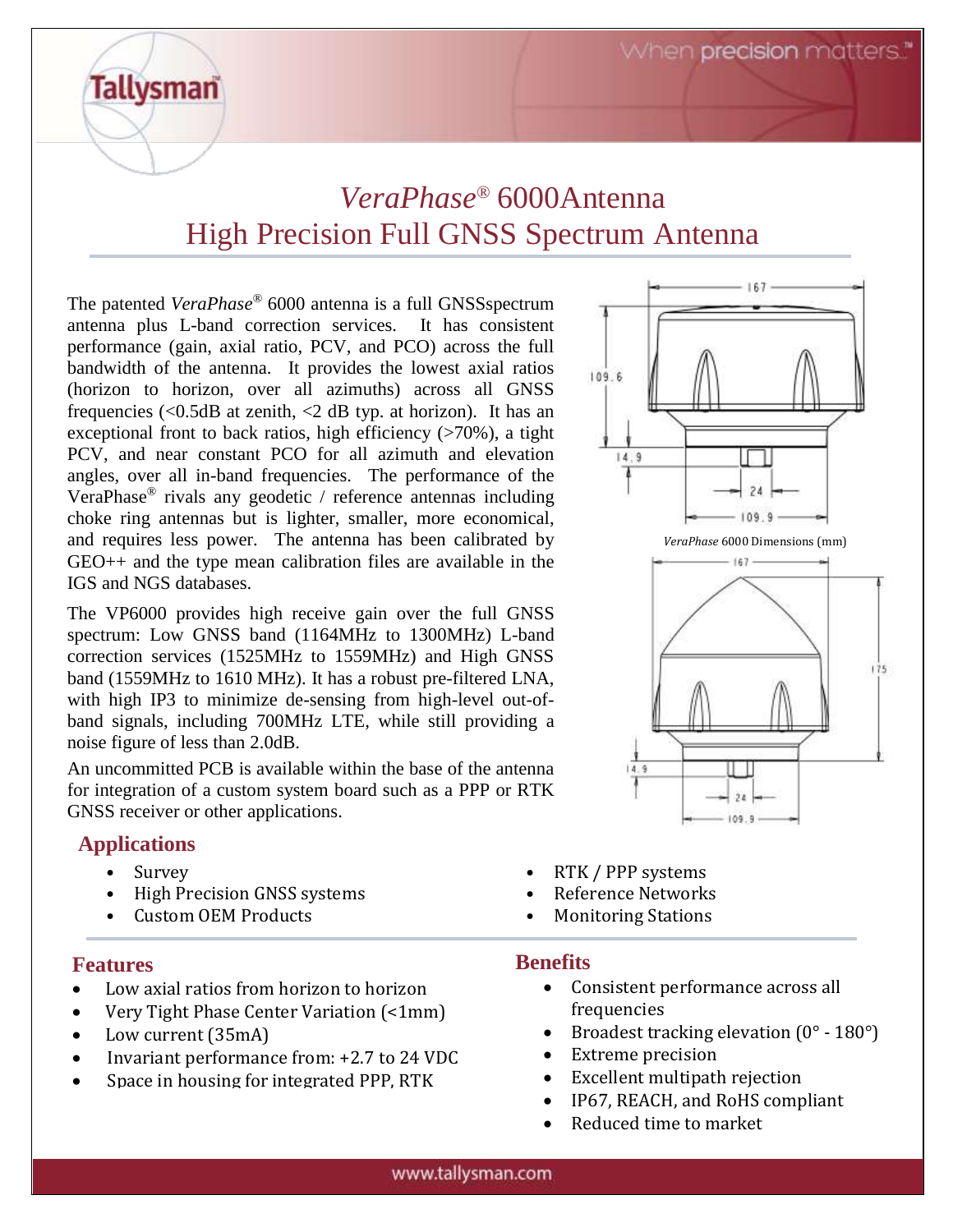When **precision** matters."

# *VeraPhase®* 6000Antenna High Precision Full GNSS Spectrum Antenna

The patented *VeraPhase*® 6000 antenna is a full GNSSspectrum antenna plus L-band correction services. It has consistent performance (gain, axial ratio, PCV, and PCO) across the full bandwidth of the antenna. It provides the lowest axial ratios (horizon to horizon, over all azimuths) across all GNSS frequencies  $\langle$  <0.5dB at zenith,  $\langle$   $2$  dB typ. at horizon). It has an exceptional front to back ratios, high efficiency  $($ >70%), a tight PCV, and near constant PCO for all azimuth and elevation angles, over all in-band frequencies. The performance of the VeraPhase® rivals any geodetic / reference antennas including choke ring antennas but is lighter, smaller, more economical, and requires less power. The antenna has been calibrated by GEO++ and the type mean calibration files are available in the IGS and NGS databases.

The VP6000 provides high receive gain over the full GNSS spectrum: Low GNSS band (1164MHz to 1300MHz) L-band correction services (1525MHz to 1559MHz) and High GNSS band (1559MHz to 1610 MHz). It has a robust pre-filtered LNA, with high IP3 to minimize de-sensing from high-level out-ofband signals, including 700MHz LTE, while still providing a noise figure of less than 2.0dB.

An uncommitted PCB is available within the base of the antenna for integration of a custom system board such as a PPP or RTK GNSS receiver or other applications.

#### **Applications**

**Tallysman** 

- High Precision GNSS systems Reference Networks
- Custom OEM Products Monitoring Stations

#### **Features**

- Low axial ratios from horizon to horizon
- Very Tight Phase Center Variation (<1mm)
- Low current (35mA)
- Invariant performance from: +2.7 to 24 VDC
- Space in housing for integrated PPP, RTK
- $109.6$ 14.9  $109.9$ *VeraPhase* 6000 Dimensions (mm)  $167 175$ 14.9 109
- Survey RTK / PPP systems
	-
	-

#### **Benefits**

- Consistent performance across all frequencies
- Broadest tracking elevation  $(0^\circ 180^\circ)$
- Extreme precision
- Excellent multipath rejection
- IP67, REACH, and RoHS compliant
- Reduced time to market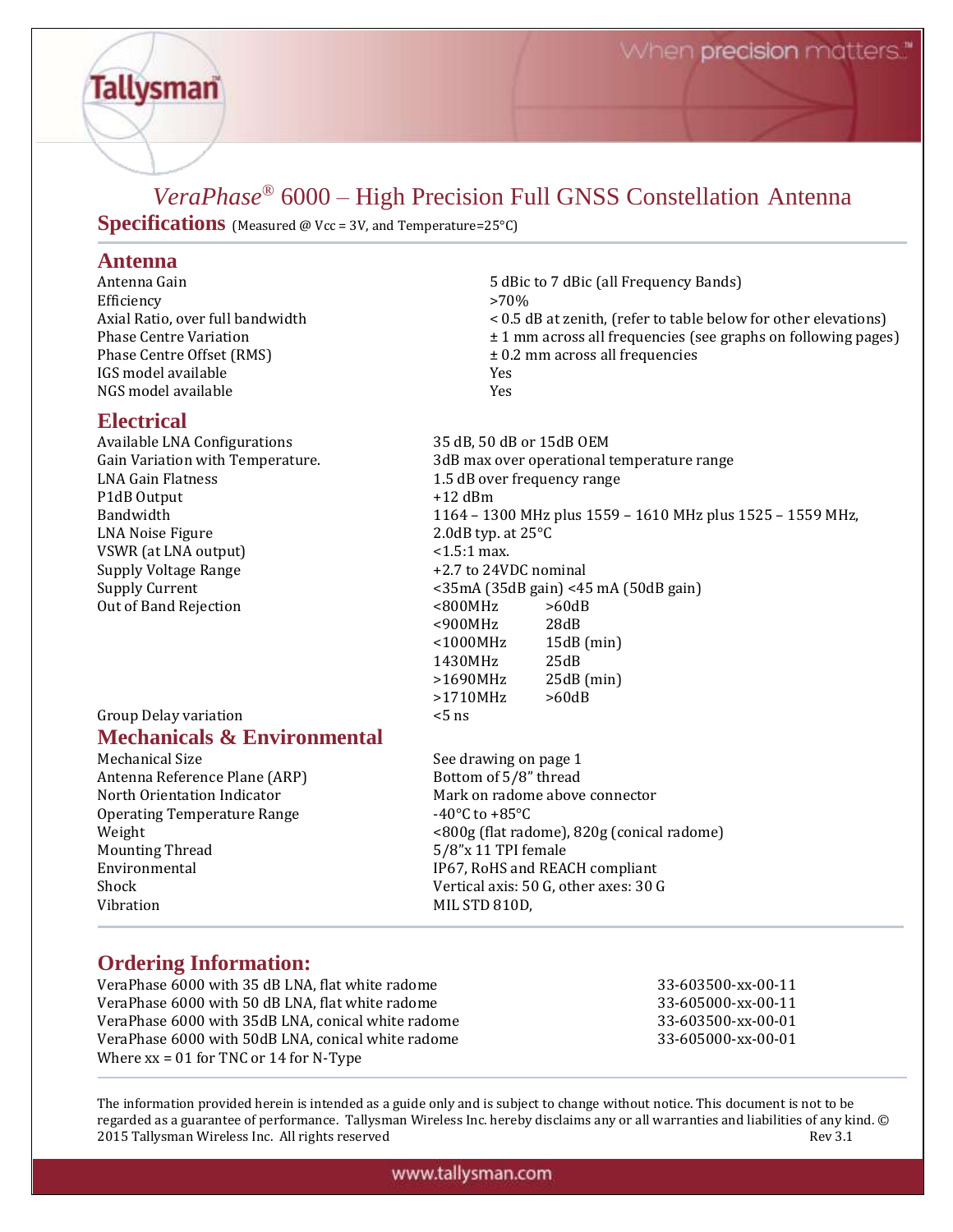### *VeraPhase®* 6000 – High Precision Full GNSS Constellation Antenna

**Specifications** (Measured @ Vcc = 3V, and Temperature=25°C)

#### **Antenna**

**Tallysman** 

 $Efficiency$  >70% IGS model available Yes NGS model available Yes

#### **Electrical**

Available LNA Configurations 35 dB, 50 dB or 15dB OEM LNA Gain Flatness 1.5 dB over frequency range P1dB Output  $+12$  dBm LNA Noise Figure 2.0dB typ. at 25 °C VSWR (at LNA output)  $\le$  1.5:1 max. Supply Voltage Range  $+2.7$  to 24VDC nominal Out of Band Rejection <800MHz >60dB

#### Group Delay variation  $\leq$  5 ns **Mechanicals & Environmental**

Antenna Reference Plane (ARP) Bottom of 5/8" thread Operating Temperature Range -40°C to +85°C Mounting Thread 5/8"x 11 TPI female Vibration MIL STD 810D,

Antenna Gain **1986** and 5 dBic to 7 dBic (all Frequency Bands) Axial Ratio, over full bandwidth < 0.5 dB at zenith, (refer to table below for other elevations) Phase Centre Variation  $\pm 1$  mm across all frequencies (see graphs on following pages) Phase Centre Offset (RMS)  $\pm 0.2$  mm across all frequencies

Gain Variation with Temperature. 3dB max over operational temperature range Bandwidth 1164 – 1300 MHz plus 1559 – 1610 MHz plus 1525 – 1559 MHz, Supply Current <35mA (35dB gain) <45 mA (50dB gain) <900MHz 28dB <1000MHz 15dB (min) 1430MHz 25dB >1690MHz 25dB (min) >1710MHz >60dB

Mechanical Size See drawing on page 1 North Orientation Indicator Mark on radome above connector Weight <800g (flat radome), 820g (conical radome) Environmental **IP67, RoHS** and REACH compliant Shock Vertical axis: 50 G, other axes: 30 G

#### **Ordering Information:**

VeraPhase 6000 with 35 dB LNA, flat white radome 33-603500-xx-00-11 VeraPhase 6000 with 50 dB LNA, flat white radome 33-605000-xx-00-11 VeraPhase 6000 with 35dB LNA, conical white radome 33-603500-xx-00-01 VeraPhase 6000 with 50dB LNA, conical white radome  $33-605000-xx-00-01$ Where  $xx = 01$  for TNC or 14 for N-Type

The information provided herein is intended as a guide only and is subject to change without notice. This document is not to be regarded as a guarantee of performance. Tallysman Wireless Inc. hereby disclaims any or all warranties and liabilities of any kind. © 2015 Tallysman Wireless Inc. All rights reserved Rev 3.1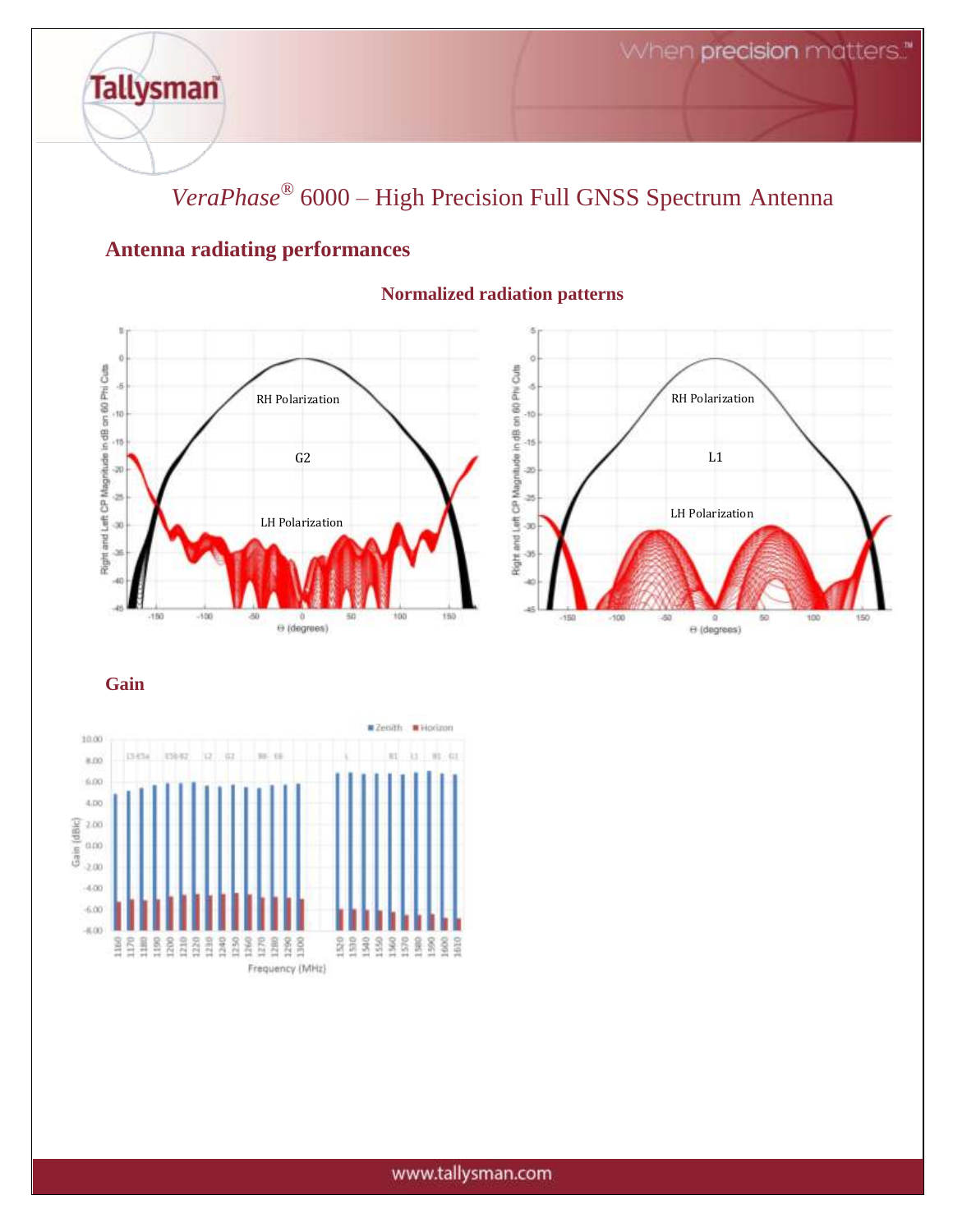*VeraPhase®* 6000 – High Precision Full GNSS Spectrum Antenna

### **Antenna radiating performances**

**Tallysman** 



#### **Normalized radiation patterns**



**Gain**